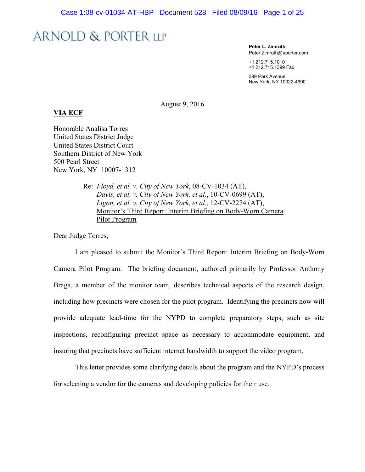**Peter L. Zimroth** Peter.Zimroth@aporter.com

+1 212.715.1010 +1 212.715.1399 Fax

399 Park Avenue New York, NY 10022-4690

August 9, 2016

#### **VIA ECF**

Honorable Analisa Torres United States District Judge United States District Court Southern District of New York 500 Pearl Street New York, NY 10007-1312

> Re: *Floyd, et al. v. City of New York*, 08-CV-1034 (AT), *Davis, et al. v. City of New York, et al.*, 10-CV-0699 (AT), *Ligon, et al. v. City of New York, et al.*, 12-CV-2274 (AT), Monitor's Third Report: Interim Briefing on Body-Worn Camera Pilot Program

Dear Judge Torres,

I am pleased to submit the Monitor's Third Report: Interim Briefing on Body-Worn Camera Pilot Program. The briefing document, authored primarily by Professor Anthony Braga, a member of the monitor team, describes technical aspects of the research design, including how precincts were chosen for the pilot program. Identifying the precincts now will provide adequate lead-time for the NYPD to complete preparatory steps, such as site inspections, reconfiguring precinct space as necessary to accommodate equipment, and insuring that precincts have sufficient internet bandwidth to support the video program.

This letter provides some clarifying details about the program and the NYPD's process for selecting a vendor for the cameras and developing policies for their use.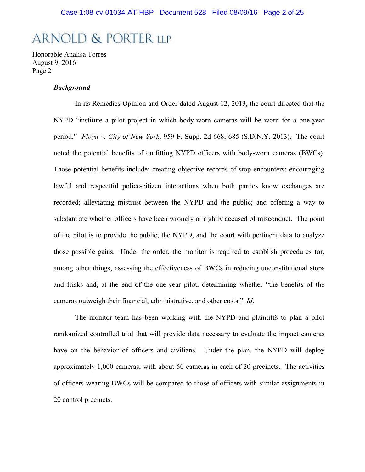Honorable Analisa Torres August 9, 2016 Page 2

#### *Background*

In its Remedies Opinion and Order dated August 12, 2013, the court directed that the NYPD "institute a pilot project in which body-worn cameras will be worn for a one-year period." *Floyd v. City of New York*, 959 F. Supp. 2d 668, 685 (S.D.N.Y. 2013). The court noted the potential benefits of outfitting NYPD officers with body-worn cameras (BWCs). Those potential benefits include: creating objective records of stop encounters; encouraging lawful and respectful police-citizen interactions when both parties know exchanges are recorded; alleviating mistrust between the NYPD and the public; and offering a way to substantiate whether officers have been wrongly or rightly accused of misconduct. The point of the pilot is to provide the public, the NYPD, and the court with pertinent data to analyze those possible gains. Under the order, the monitor is required to establish procedures for, among other things, assessing the effectiveness of BWCs in reducing unconstitutional stops and frisks and, at the end of the one-year pilot, determining whether "the benefits of the cameras outweigh their financial, administrative, and other costs." *Id*.

The monitor team has been working with the NYPD and plaintiffs to plan a pilot randomized controlled trial that will provide data necessary to evaluate the impact cameras have on the behavior of officers and civilians. Under the plan, the NYPD will deploy approximately 1,000 cameras, with about 50 cameras in each of 20 precincts. The activities of officers wearing BWCs will be compared to those of officers with similar assignments in 20 control precincts.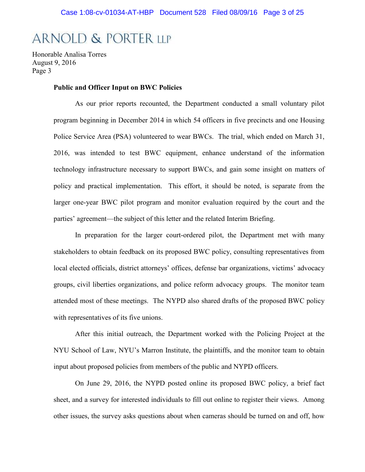Honorable Analisa Torres August 9, 2016 Page 3

#### **Public and Officer Input on BWC Policies**

As our prior reports recounted, the Department conducted a small voluntary pilot program beginning in December 2014 in which 54 officers in five precincts and one Housing Police Service Area (PSA) volunteered to wear BWCs. The trial, which ended on March 31, 2016, was intended to test BWC equipment, enhance understand of the information technology infrastructure necessary to support BWCs, and gain some insight on matters of policy and practical implementation. This effort, it should be noted, is separate from the larger one-year BWC pilot program and monitor evaluation required by the court and the parties' agreement—the subject of this letter and the related Interim Briefing.

In preparation for the larger court-ordered pilot, the Department met with many stakeholders to obtain feedback on its proposed BWC policy, consulting representatives from local elected officials, district attorneys' offices, defense bar organizations, victims' advocacy groups, civil liberties organizations, and police reform advocacy groups. The monitor team attended most of these meetings. The NYPD also shared drafts of the proposed BWC policy with representatives of its five unions.

After this initial outreach, the Department worked with the Policing Project at the NYU School of Law, NYU's Marron Institute, the plaintiffs, and the monitor team to obtain input about proposed policies from members of the public and NYPD officers.

On June 29, 2016, the NYPD posted online its proposed BWC policy, a brief fact sheet, and a survey for interested individuals to fill out online to register their views. Among other issues, the survey asks questions about when cameras should be turned on and off, how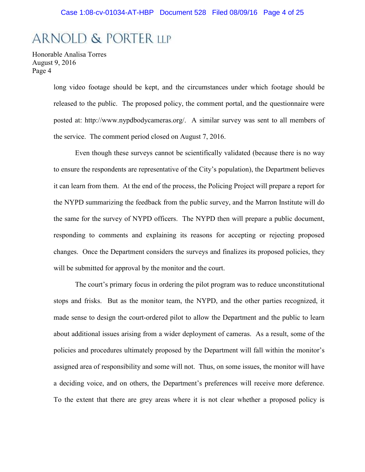Honorable Analisa Torres August 9, 2016 Page 4

> long video footage should be kept, and the circumstances under which footage should be released to the public. The proposed policy, the comment portal, and the questionnaire were posted at: http://www.nypdbodycameras.org/. A similar survey was sent to all members of the service. The comment period closed on August 7, 2016.

> Even though these surveys cannot be scientifically validated (because there is no way to ensure the respondents are representative of the City's population), the Department believes it can learn from them. At the end of the process, the Policing Project will prepare a report for the NYPD summarizing the feedback from the public survey, and the Marron Institute will do the same for the survey of NYPD officers. The NYPD then will prepare a public document, responding to comments and explaining its reasons for accepting or rejecting proposed changes. Once the Department considers the surveys and finalizes its proposed policies, they will be submitted for approval by the monitor and the court.

> The court's primary focus in ordering the pilot program was to reduce unconstitutional stops and frisks. But as the monitor team, the NYPD, and the other parties recognized, it made sense to design the court-ordered pilot to allow the Department and the public to learn about additional issues arising from a wider deployment of cameras. As a result, some of the policies and procedures ultimately proposed by the Department will fall within the monitor's assigned area of responsibility and some will not. Thus, on some issues, the monitor will have a deciding voice, and on others, the Department's preferences will receive more deference. To the extent that there are grey areas where it is not clear whether a proposed policy is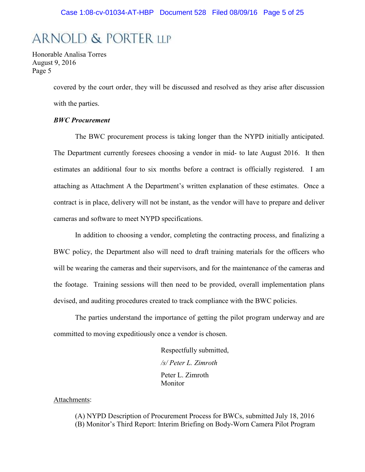Honorable Analisa Torres August 9, 2016 Page 5

> covered by the court order, they will be discussed and resolved as they arise after discussion with the parties.

#### *BWC Procurement*

The BWC procurement process is taking longer than the NYPD initially anticipated. The Department currently foresees choosing a vendor in mid- to late August 2016. It then estimates an additional four to six months before a contract is officially registered. I am attaching as Attachment A the Department's written explanation of these estimates. Once a contract is in place, delivery will not be instant, as the vendor will have to prepare and deliver cameras and software to meet NYPD specifications.

In addition to choosing a vendor, completing the contracting process, and finalizing a BWC policy, the Department also will need to draft training materials for the officers who will be wearing the cameras and their supervisors, and for the maintenance of the cameras and the footage. Training sessions will then need to be provided, overall implementation plans devised, and auditing procedures created to track compliance with the BWC policies.

The parties understand the importance of getting the pilot program underway and are committed to moving expeditiously once a vendor is chosen.

> Respectfully submitted, */s/ Peter L. Zimroth* Peter L. Zimroth Monitor

#### Attachments:

(A) NYPD Description of Procurement Process for BWCs, submitted July 18, 2016 (B) Monitor's Third Report: Interim Briefing on Body-Worn Camera Pilot Program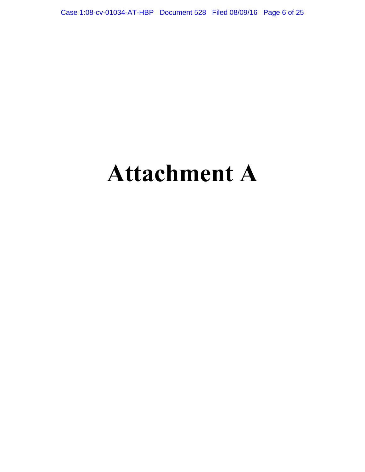Case 1:08-cv-01034-AT-HBP Document 528 Filed 08/09/16 Page 6 of 25

# **Attachment A**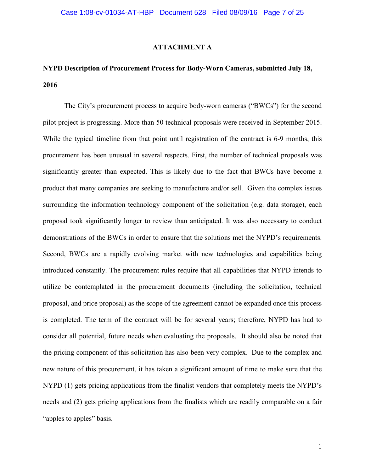#### **ATTACHMENT A**

### **NYPD Description of Procurement Process for Body-Worn Cameras, submitted July 18, 2016**

The City's procurement process to acquire body-worn cameras ("BWCs") for the second pilot project is progressing. More than 50 technical proposals were received in September 2015. While the typical timeline from that point until registration of the contract is 6-9 months, this procurement has been unusual in several respects. First, the number of technical proposals was significantly greater than expected. This is likely due to the fact that BWCs have become a product that many companies are seeking to manufacture and/or sell. Given the complex issues surrounding the information technology component of the solicitation (e.g. data storage), each proposal took significantly longer to review than anticipated. It was also necessary to conduct demonstrations of the BWCs in order to ensure that the solutions met the NYPD's requirements. Second, BWCs are a rapidly evolving market with new technologies and capabilities being introduced constantly. The procurement rules require that all capabilities that NYPD intends to utilize be contemplated in the procurement documents (including the solicitation, technical proposal, and price proposal) as the scope of the agreement cannot be expanded once this process is completed. The term of the contract will be for several years; therefore, NYPD has had to consider all potential, future needs when evaluating the proposals. It should also be noted that the pricing component of this solicitation has also been very complex. Due to the complex and new nature of this procurement, it has taken a significant amount of time to make sure that the NYPD (1) gets pricing applications from the finalist vendors that completely meets the NYPD's needs and (2) gets pricing applications from the finalists which are readily comparable on a fair "apples to apples" basis.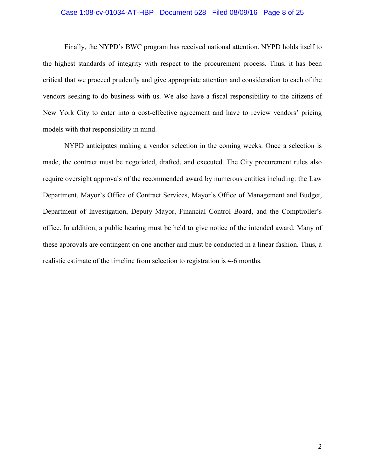#### Case 1:08-cv-01034-AT-HBP Document 528 Filed 08/09/16 Page 8 of 25

Finally, the NYPD's BWC program has received national attention. NYPD holds itself to the highest standards of integrity with respect to the procurement process. Thus, it has been critical that we proceed prudently and give appropriate attention and consideration to each of the vendors seeking to do business with us. We also have a fiscal responsibility to the citizens of New York City to enter into a cost-effective agreement and have to review vendors' pricing models with that responsibility in mind.

NYPD anticipates making a vendor selection in the coming weeks. Once a selection is made, the contract must be negotiated, drafted, and executed. The City procurement rules also require oversight approvals of the recommended award by numerous entities including: the Law Department, Mayor's Office of Contract Services, Mayor's Office of Management and Budget, Department of Investigation, Deputy Mayor, Financial Control Board, and the Comptroller's office. In addition, a public hearing must be held to give notice of the intended award. Many of these approvals are contingent on one another and must be conducted in a linear fashion. Thus, a realistic estimate of the timeline from selection to registration is 4-6 months.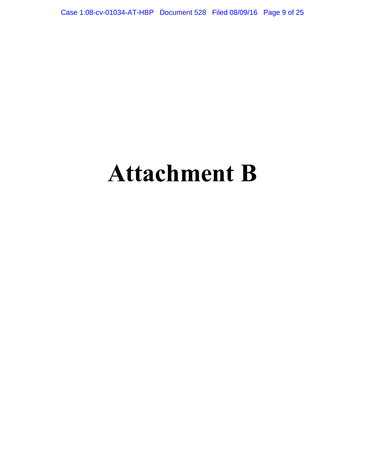Case 1:08-cv-01034-AT-HBP Document 528 Filed 08/09/16 Page 9 of 25

# **Attachment B**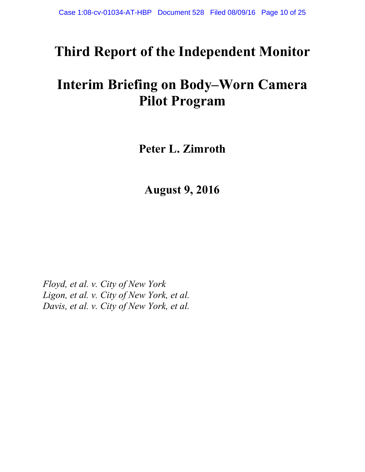## **Third Report of the Independent Monitor**

## **Interim Briefing on Body–Worn Camera Pilot Program**

**Peter L. Zimroth**

**August 9, 2016**

*Floyd, et al. v. City of New York Ligon, et al. v. City of New York, et al. Davis, et al. v. City of New York, et al.*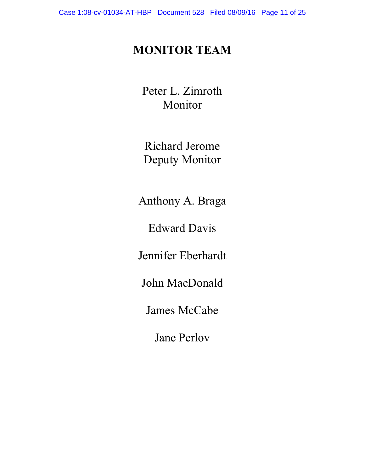### **MONITOR TEAM**

Peter L. Zimroth Monitor

Richard Jerome Deputy Monitor

Anthony A. Braga

Edward Davis

Jennifer Eberhardt

John MacDonald

James McCabe

Jane Perlov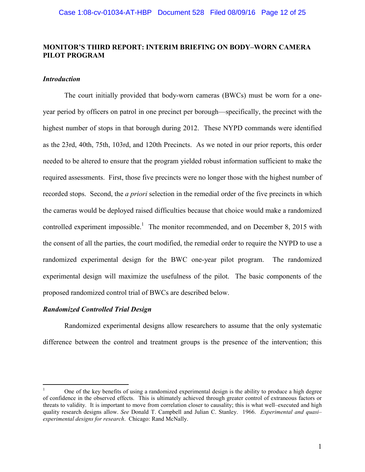#### **MONITOR'S THIRD REPORT: INTERIM BRIEFING ON BODY–WORN CAMERA PILOT PROGRAM**

#### *Introduction*

The court initially provided that body-worn cameras (BWCs) must be worn for a oneyear period by officers on patrol in one precinct per borough—specifically, the precinct with the highest number of stops in that borough during 2012. These NYPD commands were identified as the 23rd, 40th, 75th, 103rd, and 120th Precincts. As we noted in our prior reports, this order needed to be altered to ensure that the program yielded robust information sufficient to make the required assessments. First, those five precincts were no longer those with the highest number of recorded stops. Second, the *a priori* selection in the remedial order of the five precincts in which the cameras would be deployed raised difficulties because that choice would make a randomized controlled experiment impossible.<sup>1</sup> The monitor recommended, and on December 8, 2015 with the consent of all the parties, the court modified, the remedial order to require the NYPD to use a randomized experimental design for the BWC one-year pilot program. The randomized experimental design will maximize the usefulness of the pilot. The basic components of the proposed randomized control trial of BWCs are described below.

#### *Randomized Controlled Trial Design*

Randomized experimental designs allow researchers to assume that the only systematic difference between the control and treatment groups is the presence of the intervention; this

<sup>1</sup> One of the key benefits of using a randomized experimental design is the ability to produce a high degree of confidence in the observed effects. This is ultimately achieved through greater control of extraneous factors or threats to validity. It is important to move from correlation closer to causality; this is what well–executed and high quality research designs allow. *See* Donald T. Campbell and Julian C. Stanley. 1966. *Experimental and quasi– experimental designs for research*. Chicago: Rand McNally.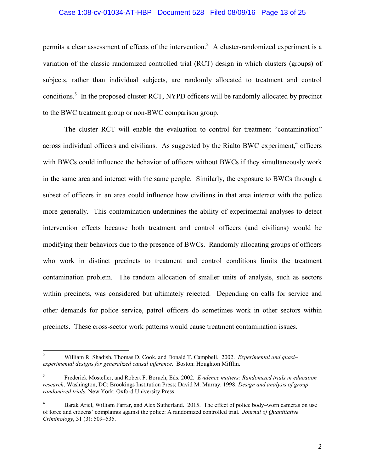#### Case 1:08-cv-01034-AT-HBP Document 528 Filed 08/09/16 Page 13 of 25

permits a clear assessment of effects of the intervention.<sup>2</sup> A cluster-randomized experiment is a variation of the classic randomized controlled trial (RCT) design in which clusters (groups) of subjects, rather than individual subjects, are randomly allocated to treatment and control conditions.<sup>3</sup> In the proposed cluster RCT, NYPD officers will be randomly allocated by precinct to the BWC treatment group or non-BWC comparison group.

The cluster RCT will enable the evaluation to control for treatment "contamination" across individual officers and civilians. As suggested by the Rialto BWC experiment,<sup>4</sup> officers with BWCs could influence the behavior of officers without BWCs if they simultaneously work in the same area and interact with the same people. Similarly, the exposure to BWCs through a subset of officers in an area could influence how civilians in that area interact with the police more generally. This contamination undermines the ability of experimental analyses to detect intervention effects because both treatment and control officers (and civilians) would be modifying their behaviors due to the presence of BWCs. Randomly allocating groups of officers who work in distinct precincts to treatment and control conditions limits the treatment contamination problem. The random allocation of smaller units of analysis, such as sectors within precincts, was considered but ultimately rejected. Depending on calls for service and other demands for police service, patrol officers do sometimes work in other sectors within precincts. These cross-sector work patterns would cause treatment contamination issues.

<sup>2</sup> William R. Shadish, Thomas D. Cook, and Donald T. Campbell. 2002. *Experimental and quasi– experimental designs for generalized causal inference*. Boston: Houghton Mifflin.

<sup>3</sup> Frederick Mosteller, and Robert F. Boruch, Eds. 2002. *Evidence matters: Randomized trials in education research*. Washington, DC: Brookings Institution Press; David M. Murray. 1998. *Design and analysis of group– randomized trials*. New York: Oxford University Press.

<sup>&</sup>lt;sup>4</sup> Barak Ariel, William Farrar, and Alex Sutherland. 2015. The effect of police body–worn cameras on use of force and citizens' complaints against the police: A randomized controlled trial. *Journal of Quantitative Criminology*, 31 (3): 509–535.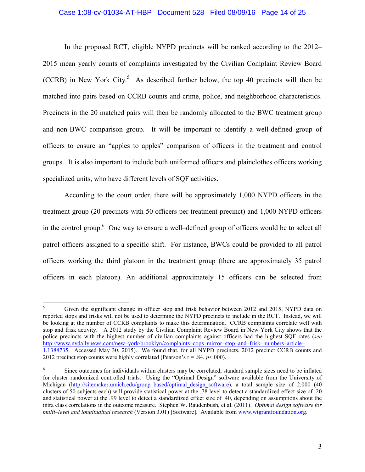#### Case 1:08-cv-01034-AT-HBP Document 528 Filed 08/09/16 Page 14 of 25

In the proposed RCT, eligible NYPD precincts will be ranked according to the 2012– 2015 mean yearly counts of complaints investigated by the Civilian Complaint Review Board (CCRB) in New York City.<sup>5</sup> As described further below, the top 40 precincts will then be matched into pairs based on CCRB counts and crime, police, and neighborhood characteristics. Precincts in the 20 matched pairs will then be randomly allocated to the BWC treatment group and non-BWC comparison group. It will be important to identify a well-defined group of officers to ensure an "apples to apples" comparison of officers in the treatment and control groups. It is also important to include both uniformed officers and plainclothes officers working specialized units, who have different levels of SQF activities.

According to the court order, there will be approximately 1,000 NYPD officers in the treatment group (20 precincts with 50 officers per treatment precinct) and 1,000 NYPD officers in the control group.<sup>6</sup> One way to ensure a well–defined group of officers would be to select all patrol officers assigned to a specific shift. For instance, BWCs could be provided to all patrol officers working the third platoon in the treatment group (there are approximately 35 patrol officers in each platoon). An additional approximately 15 officers can be selected from

<sup>&</sup>lt;sup>5</sup> Given the significant change in officer stop and frisk behavior between 2012 and 2015, NYPD data on reported stops and frisks will not be used to determine the NYPD precincts to include in the RCT. Instead, we will be looking at the number of CCRB complaints to make this determination. CCRB complaints correlate well with stop and frisk activity. A 2012 study by the Civilian Complaint Review Board in New York City shows that the police precincts with the highest number of civilian complaints against officers had the highest SQF rates (*see* http://www.nydailynews.com/new–york/brooklyn/complaints–cops–mirror–stop–and–frisk–numbers–article– 1.1388735. Accessed May 30, 2015). We found that, for all NYPD precincts, 2012 precinct CCRB counts and 2012 precinct stop counts were highly correlated (Pearson's  $r = .84$ ,  $p < .000$ ).

<sup>6</sup> Since outcomes for individuals within clusters may be correlated, standard sample sizes need to be inflated for cluster randomized controlled trials. Using the "Optimal Design" software available from the University of Michigan (http://sitemaker.umich.edu/group–based/optimal\_design\_software), a total sample size of 2,000 (40 clusters of 50 subjects each) will provide statistical power at the .78 level to detect a standardized effect size of .20 and statistical power at the .99 level to detect a standardized effect size of .40, depending on assumptions about the intra class correlations in the outcome measure. Stephen W. Raudenbush, et al. (2011). *Optimal design software for multi–level and longitudinal research* (Version 3.01) [Software]. Available from www.wtgrantfoundation.org.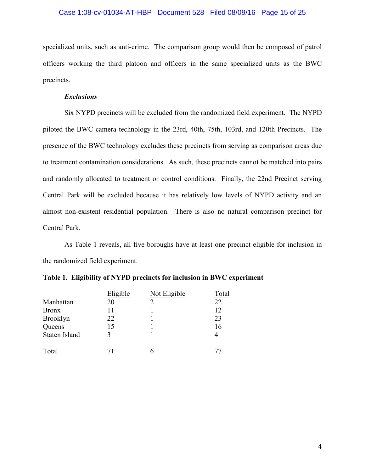#### Case 1:08-cv-01034-AT-HBP Document 528 Filed 08/09/16 Page 15 of 25

specialized units, such as anti-crime. The comparison group would then be composed of patrol officers working the third platoon and officers in the same specialized units as the BWC precincts.

#### *Exclusions*

Six NYPD precincts will be excluded from the randomized field experiment. The NYPD piloted the BWC camera technology in the 23rd, 40th, 75th, 103rd, and 120th Precincts. The presence of the BWC technology excludes these precincts from serving as comparison areas due to treatment contamination considerations. As such, these precincts cannot be matched into pairs and randomly allocated to treatment or control conditions. Finally, the 22nd Precinct serving Central Park will be excluded because it has relatively low levels of NYPD activity and an almost non-existent residential population. There is also no natural comparison precinct for Central Park.

As Table 1 reveals, all five boroughs have at least one precinct eligible for inclusion in the randomized field experiment.

|                 | Eligible | Not Eligible | Total |
|-----------------|----------|--------------|-------|
| Manhattan       | 20       |              | 22    |
| <b>Bronx</b>    | 11       |              | 12    |
| <b>Brooklyn</b> | 22       |              | 23    |
| Queens          | 15       |              | 16    |
| Staten Island   | 3        |              |       |
| Total           |          |              | 77    |

| Table 1. Eligibility of NYPD precincts for inclusion in BWC experiment |  |  |
|------------------------------------------------------------------------|--|--|
|------------------------------------------------------------------------|--|--|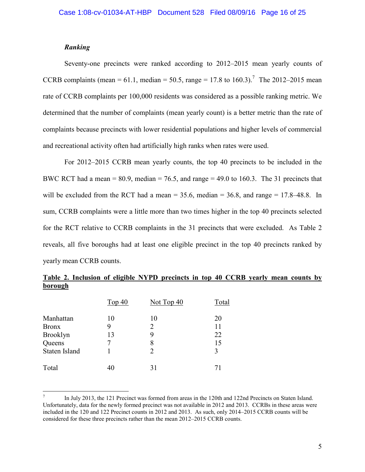#### *Ranking*

Seventy-one precincts were ranked according to 2012–2015 mean yearly counts of CCRB complaints (mean = 61.1, median = 50.5, range = 17.8 to 160.3).<sup>7</sup> The 2012–2015 mean rate of CCRB complaints per 100,000 residents was considered as a possible ranking metric. We determined that the number of complaints (mean yearly count) is a better metric than the rate of complaints because precincts with lower residential populations and higher levels of commercial and recreational activity often had artificially high ranks when rates were used.

For 2012–2015 CCRB mean yearly counts, the top 40 precincts to be included in the BWC RCT had a mean  $= 80.9$ , median  $= 76.5$ , and range  $= 49.0$  to 160.3. The 31 precincts that will be excluded from the RCT had a mean  $= 35.6$ , median  $= 36.8$ , and range  $= 17.8-48.8$ . In sum, CCRB complaints were a little more than two times higher in the top 40 precincts selected for the RCT relative to CCRB complaints in the 31 precincts that were excluded. As Table 2 reveals, all five boroughs had at least one eligible precinct in the top 40 precincts ranked by yearly mean CCRB counts.

|                      | Top $40$ | Not Top 40 | Total |
|----------------------|----------|------------|-------|
| Manhattan            | 10       | 10         | 20    |
| <b>Bronx</b>         | 9        | 2          | 11    |
| <b>Brooklyn</b>      | 13       | 9          | 22    |
| Queens               |          | 8          | 15    |
| <b>Staten Island</b> |          | 2          | 3     |
| Total                | 40       | 31         | 71    |

**Table 2. Inclusion of eligible NYPD precincts in top 40 CCRB yearly mean counts by borough**

<sup>7</sup> In July 2013, the 121 Precinct was formed from areas in the 120th and 122nd Precincts on Staten Island. Unfortunately, data for the newly formed precinct was not available in 2012 and 2013. CCRBs in these areas were included in the 120 and 122 Precinct counts in 2012 and 2013. As such, only 2014–2015 CCRB counts will be considered for these three precincts rather than the mean 2012–2015 CCRB counts.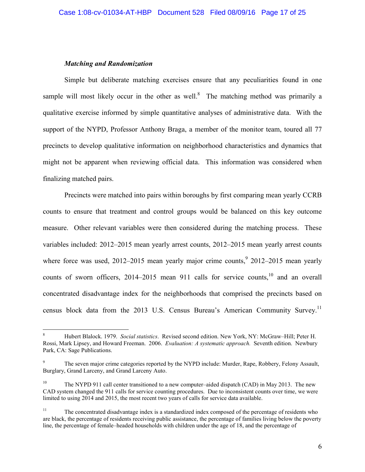#### *Matching and Randomization*

Simple but deliberate matching exercises ensure that any peculiarities found in one sample will most likely occur in the other as well.<sup>8</sup> The matching method was primarily a qualitative exercise informed by simple quantitative analyses of administrative data. With the support of the NYPD, Professor Anthony Braga, a member of the monitor team, toured all 77 precincts to develop qualitative information on neighborhood characteristics and dynamics that might not be apparent when reviewing official data. This information was considered when finalizing matched pairs.

Precincts were matched into pairs within boroughs by first comparing mean yearly CCRB counts to ensure that treatment and control groups would be balanced on this key outcome measure. Other relevant variables were then considered during the matching process. These variables included: 2012–2015 mean yearly arrest counts, 2012–2015 mean yearly arrest counts where force was used,  $2012-2015$  mean yearly major crime counts,  $92012-2015$  mean yearly counts of sworn officers,  $2014-2015$  mean 911 calls for service counts,<sup>10</sup> and an overall concentrated disadvantage index for the neighborhoods that comprised the precincts based on census block data from the 2013 U.S. Census Bureau's American Community Survey.<sup>11</sup>

<sup>8</sup> Hubert Blalock. 1979. *Social statistics*. Revised second edition. New York, NY: McGraw–Hill; Peter H. Rossi, Mark Lipsey, and Howard Freeman. 2006. *Evaluation: A systematic approach.* Seventh edition. Newbury Park, CA: Sage Publications.

The seven major crime categories reported by the NYPD include: Murder, Rape, Robbery, Felony Assault, Burglary, Grand Larceny, and Grand Larceny Auto.

<sup>&</sup>lt;sup>10</sup> The NYPD 911 call center transitioned to a new computer–aided dispatch (CAD) in May 2013. The new CAD system changed the 911 calls for service counting procedures. Due to inconsistent counts over time, we were limited to using 2014 and 2015, the most recent two years of calls for service data available.

<sup>&</sup>lt;sup>11</sup> The concentrated disadvantage index is a standardized index composed of the percentage of residents who are black, the percentage of residents receiving public assistance, the percentage of families living below the poverty line, the percentage of female–headed households with children under the age of 18, and the percentage of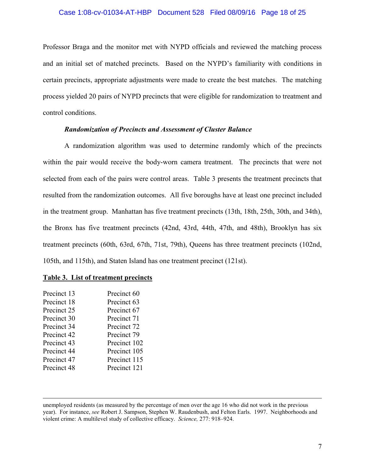#### Case 1:08-cv-01034-AT-HBP Document 528 Filed 08/09/16 Page 18 of 25

Professor Braga and the monitor met with NYPD officials and reviewed the matching process and an initial set of matched precincts. Based on the NYPD's familiarity with conditions in certain precincts, appropriate adjustments were made to create the best matches. The matching process yielded 20 pairs of NYPD precincts that were eligible for randomization to treatment and control conditions.

#### *Randomization of Precincts and Assessment of Cluster Balance*

A randomization algorithm was used to determine randomly which of the precincts within the pair would receive the body-worn camera treatment. The precincts that were not selected from each of the pairs were control areas. Table 3 presents the treatment precincts that resulted from the randomization outcomes. All five boroughs have at least one precinct included in the treatment group. Manhattan has five treatment precincts (13th, 18th, 25th, 30th, and 34th), the Bronx has five treatment precincts (42nd, 43rd, 44th, 47th, and 48th), Brooklyn has six treatment precincts (60th, 63rd, 67th, 71st, 79th), Queens has three treatment precincts (102nd, 105th, and 115th), and Staten Island has one treatment precinct (121st).

#### **Table 3. List of treatment precincts**

| Precinct 60<br>Precinct 13  |  |
|-----------------------------|--|
|                             |  |
| Precinct 63<br>Precinct 18  |  |
| Precinct 25<br>Precinct 67  |  |
| Precinct 30<br>Precinct 71  |  |
| Precinct 34<br>Precinct 72  |  |
| Precinct 42<br>Precinct 79  |  |
| Precinct 43<br>Precinct 102 |  |
| Precinct 44<br>Precinct 105 |  |
| Precinct 47<br>Precinct 115 |  |
| Precinct 48<br>Precinct 121 |  |

unemployed residents (as measured by the percentage of men over the age 16 who did not work in the previous year). For instance, *see* Robert J. Sampson, Stephen W. Raudenbush, and Felton Earls. 1997. Neighborhoods and violent crime: A multilevel study of collective efficacy. *Science,* 277: 918–924.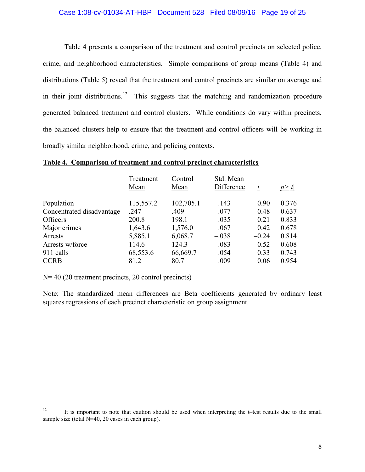#### Case 1:08-cv-01034-AT-HBP Document 528 Filed 08/09/16 Page 19 of 25

Table 4 presents a comparison of the treatment and control precincts on selected police, crime, and neighborhood characteristics. Simple comparisons of group means (Table 4) and distributions (Table 5) reveal that the treatment and control precincts are similar on average and in their joint distributions.<sup>12</sup> This suggests that the matching and randomization procedure generated balanced treatment and control clusters. While conditions do vary within precincts, the balanced clusters help to ensure that the treatment and control officers will be working in broadly similar neighborhood, crime, and policing contexts.

#### **Table 4. Comparison of treatment and control precinct characteristics**

|                           | Treatment<br>Mean | Control<br>Mean | Std. Mean<br>Difference | t       | p> t  |
|---------------------------|-------------------|-----------------|-------------------------|---------|-------|
|                           |                   |                 |                         |         |       |
| Population                | 115,557.2         | 102,705.1       | .143                    | 0.90    | 0.376 |
| Concentrated disadvantage | .247              | .409            | $-.077$                 | $-0.48$ | 0.637 |
| <b>Officers</b>           | 200.8             | 198.1           | .035                    | 0.21    | 0.833 |
| Major crimes              | 1,643.6           | 1,576.0         | .067                    | 0.42    | 0.678 |
| Arrests                   | 5,885.1           | 6,068.7         | $-.038$                 | $-0.24$ | 0.814 |
| Arrests w/force           | 114.6             | 124.3           | $-.083$                 | $-0.52$ | 0.608 |
| 911 calls                 | 68,553.6          | 66,669.7        | .054                    | 0.33    | 0.743 |
| <b>CCRB</b>               | 81.2              | 80.7            | .009                    | 0.06    | 0.954 |

N= 40 (20 treatment precincts, 20 control precincts)

Note: The standardized mean differences are Beta coefficients generated by ordinary least squares regressions of each precinct characteristic on group assignment.

<sup>&</sup>lt;sup>12</sup> It is important to note that caution should be used when interpreting the t–test results due to the small sample size (total N=40, 20 cases in each group).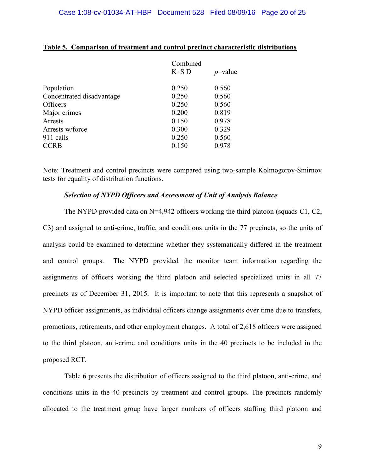|                           | Combined |            |
|---------------------------|----------|------------|
|                           | $K-S$ D  | $p$ -value |
| Population                | 0.250    | 0.560      |
| Concentrated disadvantage | 0.250    | 0.560      |
| <b>Officers</b>           | 0.250    | 0.560      |
| Major crimes              | 0.200    | 0.819      |
| Arrests                   | 0.150    | 0.978      |
| Arrests w/force           | 0.300    | 0.329      |
| 911 calls                 | 0.250    | 0.560      |
| <b>CCRB</b>               | 0.150    | 0.978      |
|                           |          |            |

#### **Table 5. Comparison of treatment and control precinct characteristic distributions**

Note: Treatment and control precincts were compared using two-sample Kolmogorov-Smirnov tests for equality of distribution functions.

#### *Selection of NYPD Officers and Assessment of Unit of Analysis Balance*

The NYPD provided data on  $N=4,942$  officers working the third platoon (squads C1, C2, C3) and assigned to anti-crime, traffic, and conditions units in the 77 precincts, so the units of analysis could be examined to determine whether they systematically differed in the treatment and control groups. The NYPD provided the monitor team information regarding the assignments of officers working the third platoon and selected specialized units in all 77 precincts as of December 31, 2015. It is important to note that this represents a snapshot of NYPD officer assignments, as individual officers change assignments over time due to transfers, promotions, retirements, and other employment changes. A total of 2,618 officers were assigned to the third platoon, anti-crime and conditions units in the 40 precincts to be included in the proposed RCT.

Table 6 presents the distribution of officers assigned to the third platoon, anti-crime, and conditions units in the 40 precincts by treatment and control groups. The precincts randomly allocated to the treatment group have larger numbers of officers staffing third platoon and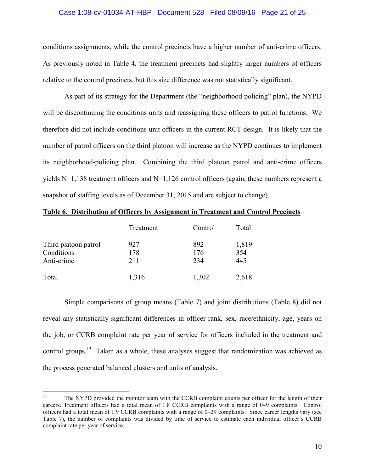#### Case 1:08-cv-01034-AT-HBP Document 528 Filed 08/09/16 Page 21 of 25

conditions assignments, while the control precincts have a higher number of anti-crime officers. As previously noted in Table 4, the treatment precincts had slightly larger numbers of officers relative to the control precincts, but this size difference was not statistically significant.

As part of its strategy for the Department (the "neighborhood policing" plan), the NYPD will be discontinuing the conditions units and reassigning these officers to patrol functions. We therefore did not include conditions unit officers in the current RCT design. It is likely that the number of patrol officers on the third platoon will increase as the NYPD continues to implement its neighborhood-policing plan. Combining the third platoon patrol and anti-crime officers yields N=1,138 treatment officers and N=1,126 control officers (again, these numbers represent a snapshot of staffing levels as of December 31, 2015 and are subject to change).

| Table 6. Distribution of Officers by Assignment in Treatment and Control Precincts |  |  |  |
|------------------------------------------------------------------------------------|--|--|--|
|                                                                                    |  |  |  |

|                      | Treatment | Control | Total |
|----------------------|-----------|---------|-------|
| Third platoon patrol | 927       | 892     | 1,819 |
| Conditions           | 178       | 176     | 354   |
| Anti-crime           | 211       | 234     | 445   |
| Total                | 1,316     | 1,302   | 2,618 |

Simple comparisons of group means (Table 7) and joint distributions (Table 8) did not reveal any statistically significant differences in officer rank, sex, race/ethnicity, age, years on the job, or CCRB complaint rate per year of service for officers included in the treatment and control groups.<sup>13</sup> Taken as a whole, these analyses suggest that randomization was achieved as the process generated balanced clusters and units of analysis.

<sup>&</sup>lt;sup>13</sup> The NYPD provided the monitor team with the CCRB complaint counts per officer for the length of their careers. Treatment officers had a total mean of 1.8 CCRB complaints with a range of 0–9 complaints. Control officers had a total mean of 1.9 CCRB complaints with a range of 0–29 complaints. Since career lengths vary (see Table 7), the number of complaints was divided by time of service to estimate each individual officer's CCRB complaint rate per year of service.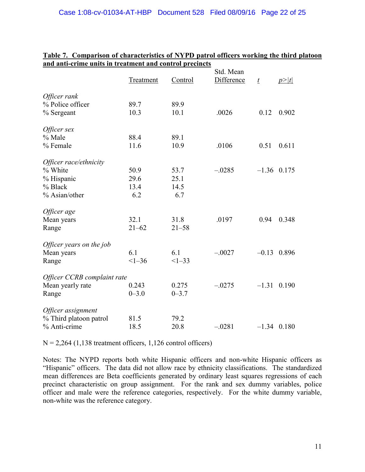|                             |                  |           | Std. Mean  |                 |       |
|-----------------------------|------------------|-----------|------------|-----------------|-------|
|                             | <b>Treatment</b> | Control   | Difference | $\underline{t}$ | p> t  |
| Officer rank                |                  |           |            |                 |       |
| % Police officer            | 89.7             | 89.9      |            |                 |       |
| % Sergeant                  | 10.3             | 10.1      | .0026      | 0.12            | 0.902 |
| Officer sex                 |                  |           |            |                 |       |
| % Male                      | 88.4             | 89.1      |            |                 |       |
| % Female                    | 11.6             | 10.9      | .0106      | 0.51            | 0.611 |
| Officer race/ethnicity      |                  |           |            |                 |       |
| % White                     | 50.9             | 53.7      | $-.0285$   | $-1.36$ 0.175   |       |
| % Hispanic                  | 29.6             | 25.1      |            |                 |       |
| % Black                     | 13.4             | 14.5      |            |                 |       |
| % Asian/other               | 6.2              | 6.7       |            |                 |       |
| Officer age                 |                  |           |            |                 |       |
| Mean years                  | 32.1             | 31.8      | .0197      | 0.94            | 0.348 |
| Range                       | $21 - 62$        | $21 - 58$ |            |                 |       |
| Officer years on the job    |                  |           |            |                 |       |
| Mean years                  | 6.1              | 6.1       | $-.0027$   | $-0.13$         | 0.896 |
| Range                       | $<1 - 36$        | $<1-33$   |            |                 |       |
| Officer CCRB complaint rate |                  |           |            |                 |       |
| Mean yearly rate            | 0.243            | 0.275     | $-.0275$   | $-1.31$         | 0.190 |
| Range                       | $0 - 3.0$        | $0 - 3.7$ |            |                 |       |
| Officer assignment          |                  |           |            |                 |       |
| % Third platoon patrol      | 81.5             | 79.2      |            |                 |       |
| % Anti-crime                | 18.5             | 20.8      | $-.0281$   | $-1.34$ 0.180   |       |

#### **Table 7. Comparison of characteristics of NYPD patrol officers working the third platoon and anti-crime units in treatment and control precincts**

 $N = 2,264$  (1,138 treatment officers, 1,126 control officers)

Notes: The NYPD reports both white Hispanic officers and non-white Hispanic officers as "Hispanic" officers. The data did not allow race by ethnicity classifications. The standardized mean differences are Beta coefficients generated by ordinary least squares regressions of each precinct characteristic on group assignment. For the rank and sex dummy variables, police officer and male were the reference categories, respectively. For the white dummy variable, non-white was the reference category.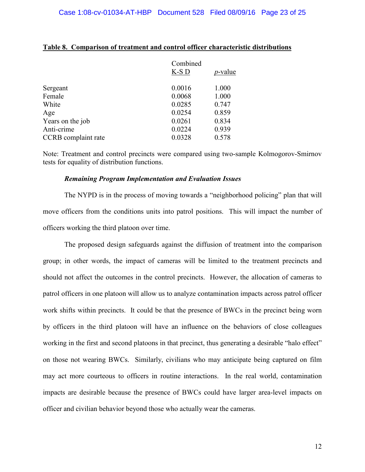|                     | Combined |                 |
|---------------------|----------|-----------------|
|                     | $K-S$ D  | <i>p</i> -value |
| Sergeant            | 0.0016   | 1.000           |
| Female              | 0.0068   | 1.000           |
| White               | 0.0285   | 0.747           |
| Age                 | 0.0254   | 0.859           |
| Years on the job    | 0.0261   | 0.834           |
| Anti-crime          | 0.0224   | 0.939           |
| CCRB complaint rate | 0.0328   | 0.578           |
|                     |          |                 |

#### **Table 8. Comparison of treatment and control officer characteristic distributions**

Note: Treatment and control precincts were compared using two-sample Kolmogorov-Smirnov tests for equality of distribution functions.

#### *Remaining Program Implementation and Evaluation Issues*

The NYPD is in the process of moving towards a "neighborhood policing" plan that will move officers from the conditions units into patrol positions. This will impact the number of officers working the third platoon over time.

The proposed design safeguards against the diffusion of treatment into the comparison group; in other words, the impact of cameras will be limited to the treatment precincts and should not affect the outcomes in the control precincts. However, the allocation of cameras to patrol officers in one platoon will allow us to analyze contamination impacts across patrol officer work shifts within precincts. It could be that the presence of BWCs in the precinct being worn by officers in the third platoon will have an influence on the behaviors of close colleagues working in the first and second platoons in that precinct, thus generating a desirable "halo effect" on those not wearing BWCs. Similarly, civilians who may anticipate being captured on film may act more courteous to officers in routine interactions. In the real world, contamination impacts are desirable because the presence of BWCs could have larger area-level impacts on officer and civilian behavior beyond those who actually wear the cameras.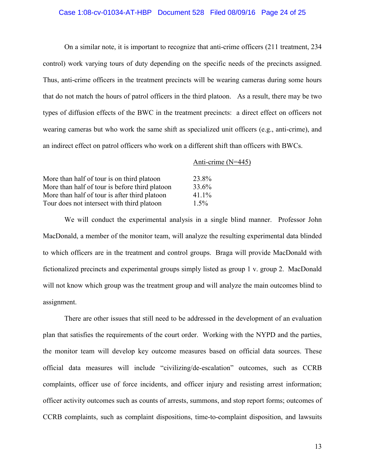#### Case 1:08-cv-01034-AT-HBP Document 528 Filed 08/09/16 Page 24 of 25

On a similar note, it is important to recognize that anti-crime officers (211 treatment, 234 control) work varying tours of duty depending on the specific needs of the precincts assigned. Thus, anti-crime officers in the treatment precincts will be wearing cameras during some hours that do not match the hours of patrol officers in the third platoon. As a result, there may be two types of diffusion effects of the BWC in the treatment precincts: a direct effect on officers not wearing cameras but who work the same shift as specialized unit officers (e.g., anti-crime), and an indirect effect on patrol officers who work on a different shift than officers with BWCs.

|                                                | Anti-crime $(N=445)$ |
|------------------------------------------------|----------------------|
|                                                |                      |
| More than half of tour is on third platoon     | 23.8%                |
| More than half of tour is before third platoon | 33.6%                |
| More than half of tour is after third platoon  | 41.1%                |
| Tour does not intersect with third platoon     | $1.5\%$              |

We will conduct the experimental analysis in a single blind manner. Professor John MacDonald, a member of the monitor team, will analyze the resulting experimental data blinded to which officers are in the treatment and control groups. Braga will provide MacDonald with fictionalized precincts and experimental groups simply listed as group 1 v. group 2. MacDonald will not know which group was the treatment group and will analyze the main outcomes blind to assignment.

There are other issues that still need to be addressed in the development of an evaluation plan that satisfies the requirements of the court order. Working with the NYPD and the parties, the monitor team will develop key outcome measures based on official data sources. These official data measures will include "civilizing/de-escalation" outcomes, such as CCRB complaints, officer use of force incidents, and officer injury and resisting arrest information; officer activity outcomes such as counts of arrests, summons, and stop report forms; outcomes of CCRB complaints, such as complaint dispositions, time-to-complaint disposition, and lawsuits